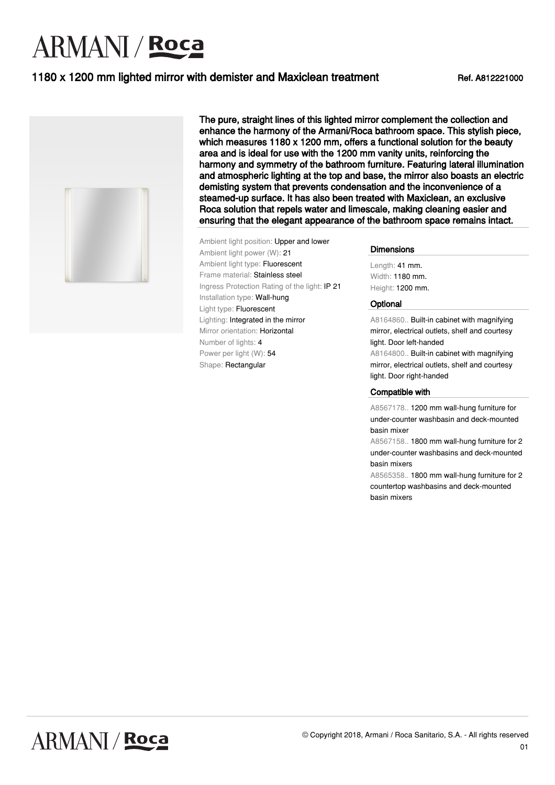# **ARMANI** / Roca

### 1180 x 1200 mm lighted mirror with demister and Maxiclean treatment Ref. A812221000



The pure, straight lines of this lighted mirror complement the collection and enhance the harmony of the Armani/Roca bathroom space. This stylish piece, which measures 1180 x 1200 mm, offers a functional solution for the beauty area and is ideal for use with the 1200 mm vanity units, reinforcing the harmony and symmetry of the bathroom furniture. Featuring lateral illumination and atmospheric lighting at the top and base, the mirror also boasts an electric demisting system that prevents condensation and the inconvenience of a steamed-up surface. It has also been treated with Maxiclean, an exclusive Roca solution that repels water and limescale, making cleaning easier and ensuring that the elegant appearance of the bathroom space remains intact.

Ambient light position: Upper and lower Ambient light power (W): 21 Ambient light type: Fluorescent Frame material: Stainless steel Ingress Protection Rating of the light: IP 21 Installation type: Wall-hung Light type: Fluorescent Lighting: Integrated in the mirror Mirror orientation: Horizontal Number of lights: 4 Power per light (W): 54 Shape: Rectangular

**Dimensions** 

Length: 41 mm. Width: 1180 mm. Height: 1200 mm.

#### **Optional**

A8164860.. Built-in cabinet with magnifying mirror, electrical outlets, shelf and courtesy light. Door left-handed

A8164800.. Built-in cabinet with magnifying mirror, electrical outlets, shelf and courtesy light. Door right-handed

#### Compatible with

A8567178.. 1200 mm wall-hung furniture for under-counter washbasin and deck-mounted basin mixer

A8567158.. 1800 mm wall-hung furniture for 2 under-counter washbasins and deck-mounted basin mixers

A8565358.. 1800 mm wall-hung furniture for 2 countertop washbasins and deck-mounted basin mixers